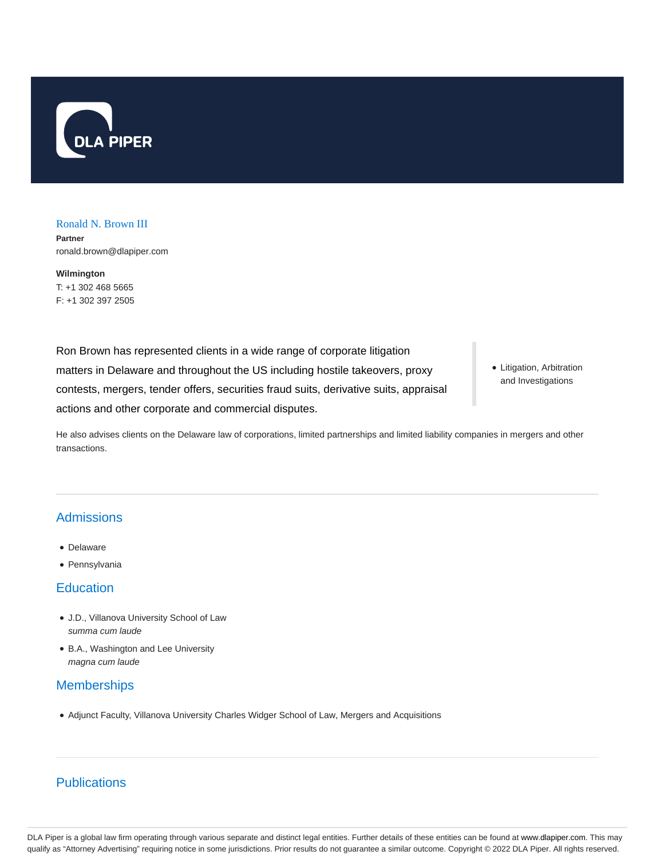

#### Ronald N. Brown III

**Partner** ronald.brown@dlapiper.com

**Wilmington** T: +1 302 468 5665 F: +1 302 397 2505

Ron Brown has represented clients in a wide range of corporate litigation matters in Delaware and throughout the US including hostile takeovers, proxy contests, mergers, tender offers, securities fraud suits, derivative suits, appraisal actions and other corporate and commercial disputes.

Litigation, Arbitration and Investigations

He also advises clients on the Delaware law of corporations, limited partnerships and limited liability companies in mergers and other transactions.

## **Admissions**

- Delaware
- Pennsylvania

## **Education**

- J.D., Villanova University School of Law summa cum laude
- B.A., Washington and Lee University magna cum laude

## **Memberships**

Adjunct Faculty, Villanova University Charles Widger School of Law, Mergers and Acquisitions

# **Publications**

DLA Piper is a global law firm operating through various separate and distinct legal entities. Further details of these entities can be found at www.dlapiper.com. This may qualify as "Attorney Advertising" requiring notice in some jurisdictions. Prior results do not guarantee a similar outcome. Copyright © 2022 DLA Piper. All rights reserved.